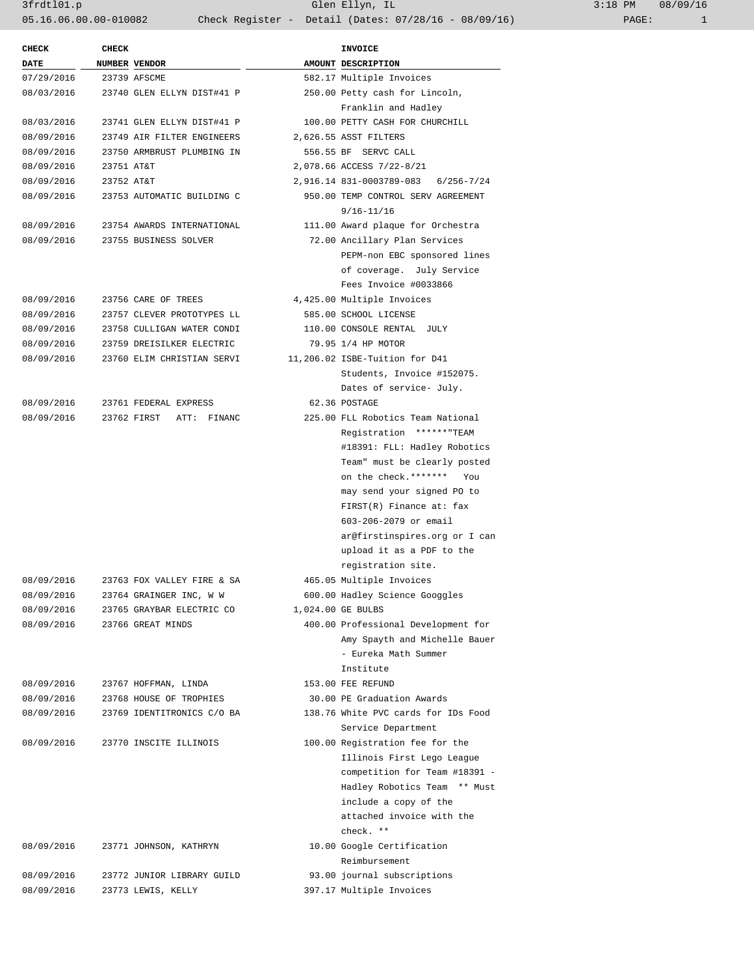3frdtl01.p Glen Ellyn, IL 3:18 PM 08/09/16 05.16.06.00.00-010082 Check Register - Detail (Dates: 07/28/16 - 08/09/16) PAGE: 1

| <b>CHECK</b> | <b>CHECK</b>  |                            | <b>INVOICE</b>                      |
|--------------|---------------|----------------------------|-------------------------------------|
| DATE         | NUMBER VENDOR |                            | AMOUNT DESCRIPTION                  |
| 07/29/2016   | 23739 AFSCME  |                            | 582.17 Multiple Invoices            |
| 08/03/2016   |               | 23740 GLEN ELLYN DIST#41 P | 250.00 Petty cash for Lincoln,      |
|              |               |                            | Franklin and Hadley                 |
| 08/03/2016   |               | 23741 GLEN ELLYN DIST#41 P | 100.00 PETTY CASH FOR CHURCHILL     |
| 08/09/2016   |               | 23749 AIR FILTER ENGINEERS | 2,626.55 ASST FILTERS               |
| 08/09/2016   |               | 23750 ARMBRUST PLUMBING IN | 556.55 BF SERVC CALL                |
| 08/09/2016   | 23751 AT&T    |                            | 2,078.66 ACCESS 7/22-8/21           |
| 08/09/2016   | 23752 AT&T    |                            | 2,916.14 831-0003789-083 6/256-7/24 |
| 08/09/2016   |               | 23753 AUTOMATIC BUILDING C | 950.00 TEMP CONTROL SERV AGREEMENT  |
|              |               |                            | $9/16 - 11/16$                      |
| 08/09/2016   |               | 23754 AWARDS INTERNATIONAL | 111.00 Award plaque for Orchestra   |
| 08/09/2016   |               | 23755 BUSINESS SOLVER      | 72.00 Ancillary Plan Services       |
|              |               |                            | PEPM-non EBC sponsored lines        |
|              |               |                            | of coverage. July Service           |
|              |               |                            | Fees Invoice #0033866               |
| 08/09/2016   |               | 23756 CARE OF TREES        | 4,425.00 Multiple Invoices          |
| 08/09/2016   |               | 23757 CLEVER PROTOTYPES LL | 585.00 SCHOOL LICENSE               |
| 08/09/2016   |               | 23758 CULLIGAN WATER CONDI | 110.00 CONSOLE RENTAL JULY          |
| 08/09/2016   |               | 23759 DREISILKER ELECTRIC  | 79.95 1/4 HP MOTOR                  |
| 08/09/2016   |               | 23760 ELIM CHRISTIAN SERVI | 11,206.02 ISBE-Tuition for D41      |
|              |               |                            | Students, Invoice #152075.          |
|              |               |                            | Dates of service- July.             |
| 08/09/2016   |               | 23761 FEDERAL EXPRESS      | 62.36 POSTAGE                       |
| 08/09/2016   |               | 23762 FIRST ATT: FINANC    | 225.00 FLL Robotics Team National   |
|              |               |                            | Registration ******"TEAM            |
|              |               |                            | #18391: FLL: Hadley Robotics        |
|              |               |                            |                                     |
|              |               |                            | Team" must be clearly posted        |
|              |               |                            | on the check. ******* You           |
|              |               |                            | may send your signed PO to          |
|              |               |                            | FIRST(R) Finance at: fax            |
|              |               |                            | 603-206-2079 or email               |
|              |               |                            | ar@firstinspires.org or I can       |
|              |               |                            | upload it as a PDF to the           |
|              |               |                            | registration site.                  |
| 08/09/2016   |               | 23763 FOX VALLEY FIRE & SA | 465.05 Multiple Invoices            |
| 08/09/2016   |               | 23764 GRAINGER INC, W W    | 600.00 Hadley Science Googgles      |
| 08/09/2016   |               | 23765 GRAYBAR ELECTRIC CO  | 1,024.00 GE BULBS                   |
| 08/09/2016   |               | 23766 GREAT MINDS          | 400.00 Professional Development for |
|              |               |                            | Amy Spayth and Michelle Bauer       |
|              |               |                            | - Eureka Math Summer                |
|              |               |                            | Institute                           |
| 08/09/2016   |               | 23767 HOFFMAN, LINDA       | 153.00 FEE REFUND                   |
| 08/09/2016   |               | 23768 HOUSE OF TROPHIES    | 30.00 PE Graduation Awards          |
| 08/09/2016   |               | 23769 IDENTITRONICS C/O BA | 138.76 White PVC cards for IDs Food |
|              |               |                            | Service Department                  |
| 08/09/2016   |               | 23770 INSCITE ILLINOIS     | 100.00 Registration fee for the     |
|              |               |                            | Illinois First Lego League          |
|              |               |                            | competition for Team #18391 -       |
|              |               |                            | Hadley Robotics Team ** Must        |
|              |               |                            | include a copy of the               |
|              |               |                            | attached invoice with the           |
|              |               |                            | check. **                           |
| 08/09/2016   |               | 23771 JOHNSON, KATHRYN     | 10.00 Google Certification          |
|              |               |                            | Reimbursement                       |
|              |               | 23772 JUNIOR LIBRARY GUILD | 93.00 journal subscriptions         |
| 08/09/2016   |               |                            |                                     |
| 08/09/2016   |               | 23773 LEWIS, KELLY         | 397.17 Multiple Invoices            |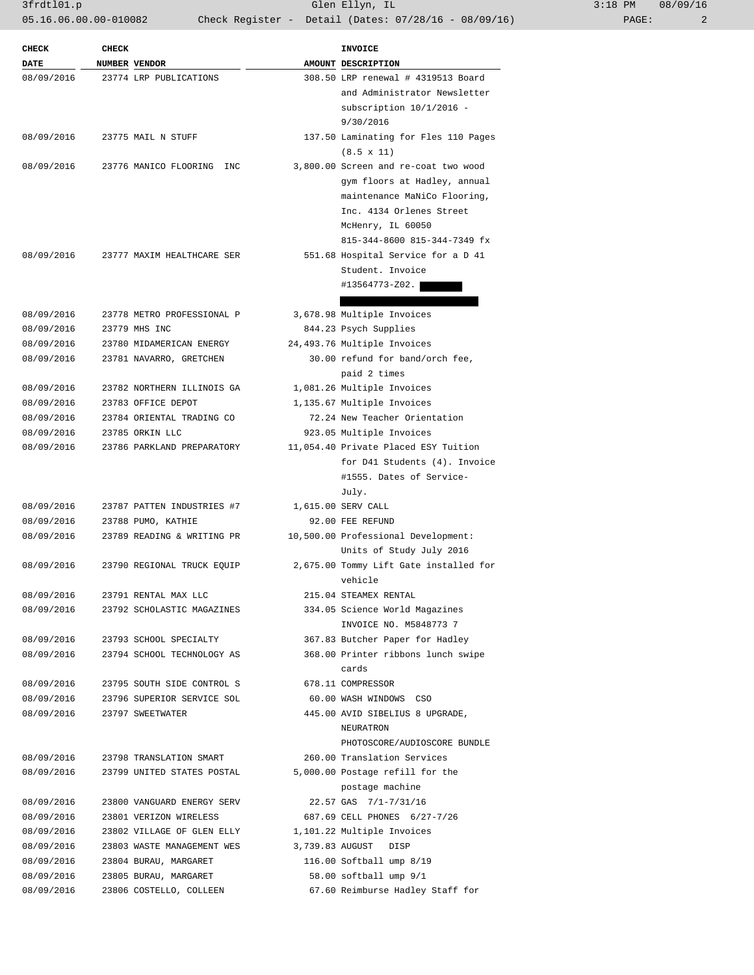3frdtl01.p Glen Ellyn, IL 3:18 PM 08/09/16 05.16.06.00.00-010082 Check Register - Detail (Dates: 07/28/16 - 08/09/16) PAGE: 2

| $3:18$ PM |       | 08/09/16 |
|-----------|-------|----------|
|           | PAGE: | 2        |

| <b>CHECK</b> | <b>CHECK</b>  |                            | <b>INVOICE</b>                         |
|--------------|---------------|----------------------------|----------------------------------------|
| DATE         | NUMBER VENDOR |                            | AMOUNT DESCRIPTION                     |
| 08/09/2016   |               | 23774 LRP PUBLICATIONS     | 308.50 LRP renewal # 4319513 Board     |
|              |               |                            | and Administrator Newsletter           |
|              |               |                            | subscription $10/1/2016$ -             |
|              |               |                            | 9/30/2016                              |
| 08/09/2016   |               | 23775 MAIL N STUFF         | 137.50 Laminating for Fles 110 Pages   |
|              |               |                            | $(8.5 \times 11)$                      |
| 08/09/2016   |               | 23776 MANICO FLOORING INC  | 3,800.00 Screen and re-coat two wood   |
|              |               |                            | gym floors at Hadley, annual           |
|              |               |                            | maintenance MaNiCo Flooring,           |
|              |               |                            | Inc. 4134 Orlenes Street               |
|              |               |                            | McHenry, IL 60050                      |
|              |               |                            | 815-344-8600 815-344-7349 fx           |
| 08/09/2016   |               | 23777 MAXIM HEALTHCARE SER | 551.68 Hospital Service for a D 41     |
|              |               |                            | Student. Invoice                       |
|              |               |                            | #13564773-Z02.                         |
|              |               |                            |                                        |
| 08/09/2016   |               | 23778 METRO PROFESSIONAL P | 3,678.98 Multiple Invoices             |
| 08/09/2016   |               | 23779 MHS INC              | 844.23 Psych Supplies                  |
| 08/09/2016   |               | 23780 MIDAMERICAN ENERGY   | 24,493.76 Multiple Invoices            |
| 08/09/2016   |               | 23781 NAVARRO, GRETCHEN    | 30.00 refund for band/orch fee,        |
|              |               |                            | paid 2 times                           |
| 08/09/2016   |               | 23782 NORTHERN ILLINOIS GA | 1,081.26 Multiple Invoices             |
| 08/09/2016   |               | 23783 OFFICE DEPOT         | 1,135.67 Multiple Invoices             |
| 08/09/2016   |               | 23784 ORIENTAL TRADING CO  | 72.24 New Teacher Orientation          |
| 08/09/2016   |               | 23785 ORKIN LLC            | 923.05 Multiple Invoices               |
| 08/09/2016   |               | 23786 PARKLAND PREPARATORY | 11,054.40 Private Placed ESY Tuition   |
|              |               |                            | for D41 Students (4). Invoice          |
|              |               |                            | #1555. Dates of Service-               |
|              |               |                            | July.                                  |
| 08/09/2016   |               | 23787 PATTEN INDUSTRIES #7 | 1,615.00 SERV CALL                     |
| 08/09/2016   |               | 23788 PUMO, KATHIE         | 92.00 FEE REFUND                       |
| 08/09/2016   |               | 23789 READING & WRITING PR | 10,500.00 Professional Development:    |
|              |               |                            | Units of Study July 2016               |
| 08/09/2016   |               | 23790 REGIONAL TRUCK EQUIP | 2,675.00 Tommy Lift Gate installed for |
|              |               |                            | vehicle                                |
| 08/09/2016   |               | 23791 RENTAL MAX LLC       | 215.04 STEAMEX RENTAL                  |
| 08/09/2016   |               | 23792 SCHOLASTIC MAGAZINES | 334.05 Science World Magazines         |
|              |               |                            | INVOICE NO. M5848773 7                 |
| 08/09/2016   |               | 23793 SCHOOL SPECIALTY     | 367.83 Butcher Paper for Hadley        |
| 08/09/2016   |               | 23794 SCHOOL TECHNOLOGY AS | 368.00 Printer ribbons lunch swipe     |
|              |               |                            | cards                                  |
| 08/09/2016   |               | 23795 SOUTH SIDE CONTROL S | 678.11 COMPRESSOR                      |
| 08/09/2016   |               | 23796 SUPERIOR SERVICE SOL | 60.00 WASH WINDOWS CSO                 |
| 08/09/2016   |               | 23797 SWEETWATER           | 445.00 AVID SIBELIUS 8 UPGRADE,        |
|              |               |                            | NEURATRON                              |
|              |               |                            | PHOTOSCORE/AUDIOSCORE BUNDLE           |
| 08/09/2016   |               | 23798 TRANSLATION SMART    | 260.00 Translation Services            |
| 08/09/2016   |               | 23799 UNITED STATES POSTAL | 5,000.00 Postage refill for the        |
|              |               |                            | postage machine                        |
| 08/09/2016   |               | 23800 VANGUARD ENERGY SERV | 22.57 GAS 7/1-7/31/16                  |
| 08/09/2016   |               | 23801 VERIZON WIRELESS     | 687.69 CELL PHONES 6/27-7/26           |
| 08/09/2016   |               | 23802 VILLAGE OF GLEN ELLY | 1,101.22 Multiple Invoices             |
| 08/09/2016   |               | 23803 WASTE MANAGEMENT WES | 3,739.83 AUGUST DISP                   |
| 08/09/2016   |               | 23804 BURAU, MARGARET      | 116.00 Softball ump 8/19               |
| 08/09/2016   |               | 23805 BURAU, MARGARET      | 58.00 softball ump 9/1                 |
| 08/09/2016   |               | 23806 COSTELLO, COLLEEN    | 67.60 Reimburse Hadley Staff for       |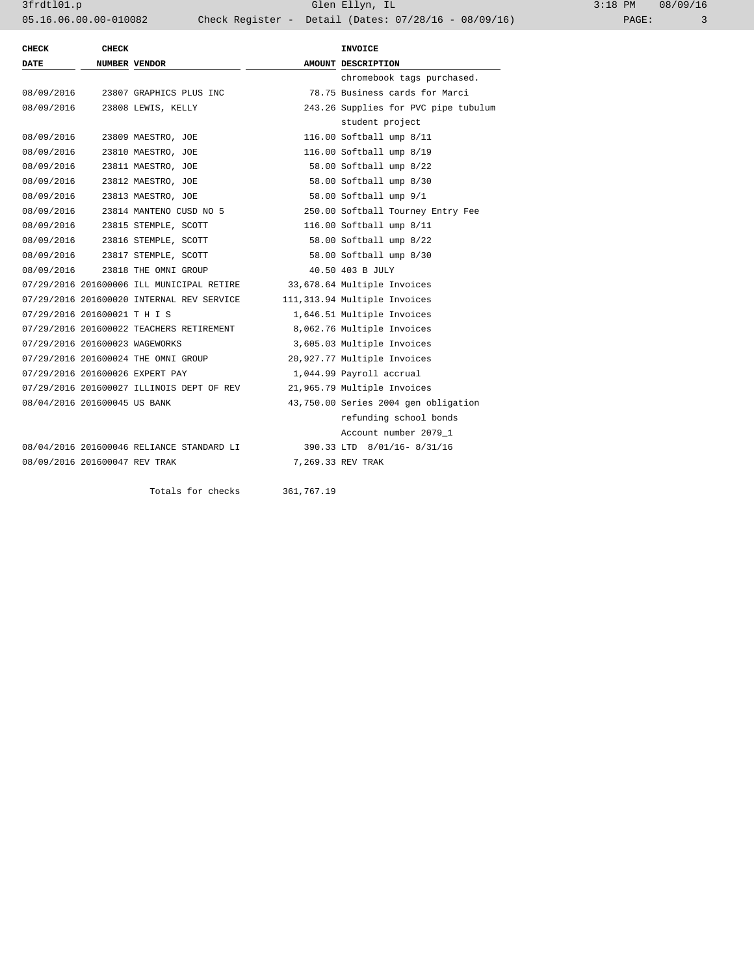| <b>CHECK</b>                   | <b>CHECK</b>  |                                           |  | <b>INVOICE</b>                       |  |
|--------------------------------|---------------|-------------------------------------------|--|--------------------------------------|--|
| DATE                           | NUMBER VENDOR |                                           |  | AMOUNT DESCRIPTION                   |  |
|                                |               |                                           |  | chromebook tags purchased.           |  |
| 08/09/2016                     |               | 23807 GRAPHICS PLUS INC                   |  | 78.75 Business cards for Marci       |  |
| 08/09/2016                     |               | 23808 LEWIS, KELLY                        |  | 243.26 Supplies for PVC pipe tubulum |  |
|                                |               |                                           |  | student project                      |  |
| 08/09/2016                     |               | 23809 MAESTRO, JOE                        |  | 116.00 Softball ump 8/11             |  |
| 08/09/2016                     |               | 23810 MAESTRO, JOE                        |  | 116.00 Softball ump 8/19             |  |
| 08/09/2016                     |               | 23811 MAESTRO, JOE                        |  | 58.00 Softball ump 8/22              |  |
| 08/09/2016                     |               | 23812 MAESTRO, JOE                        |  | 58.00 Softball ump 8/30              |  |
| 08/09/2016                     |               | 23813 MAESTRO, JOE                        |  | 58.00 Softball ump 9/1               |  |
| 08/09/2016                     |               | 23814 MANTENO CUSD NO 5                   |  | 250.00 Softball Tourney Entry Fee    |  |
| 08/09/2016                     |               | 23815 STEMPLE, SCOTT                      |  | 116.00 Softball ump 8/11             |  |
| 08/09/2016                     |               | 23816 STEMPLE, SCOTT                      |  | 58.00 Softball ump 8/22              |  |
|                                |               | 08/09/2016 23817 STEMPLE, SCOTT           |  | 58.00 Softball ump 8/30              |  |
| 08/09/2016                     |               | 23818 THE OMNI GROUP                      |  | 40.50 403 B JULY                     |  |
|                                |               | 07/29/2016 201600006 ILL MUNICIPAL RETIRE |  | 33,678.64 Multiple Invoices          |  |
|                                |               | 07/29/2016 201600020 INTERNAL REV SERVICE |  | 111,313.94 Multiple Invoices         |  |
| 07/29/2016 201600021 T H I S   |               |                                           |  | 1,646.51 Multiple Invoices           |  |
|                                |               | 07/29/2016 201600022 TEACHERS RETIREMENT  |  | 8,062.76 Multiple Invoices           |  |
| 07/29/2016 201600023 WAGEWORKS |               |                                           |  | 3,605.03 Multiple Invoices           |  |
|                                |               | 07/29/2016 201600024 THE OMNI GROUP       |  | 20,927.77 Multiple Invoices          |  |
|                                |               | 07/29/2016 201600026 EXPERT PAY           |  | 1,044.99 Payroll accrual             |  |
|                                |               | 07/29/2016 201600027 ILLINOIS DEPT OF REV |  | 21,965.79 Multiple Invoices          |  |
| 08/04/2016 201600045 US BANK   |               |                                           |  | 43,750.00 Series 2004 gen obligation |  |
|                                |               |                                           |  | refunding school bonds               |  |
|                                |               |                                           |  | Account number 2079 1                |  |
|                                |               | 08/04/2016 201600046 RELIANCE STANDARD LI |  | 390.33 LTD 8/01/16-8/31/16           |  |
| 08/09/2016 201600047 REV TRAK  |               |                                           |  | 7,269.33 REV TRAK                    |  |
|                                |               |                                           |  |                                      |  |

Totals for checks 361,767.19